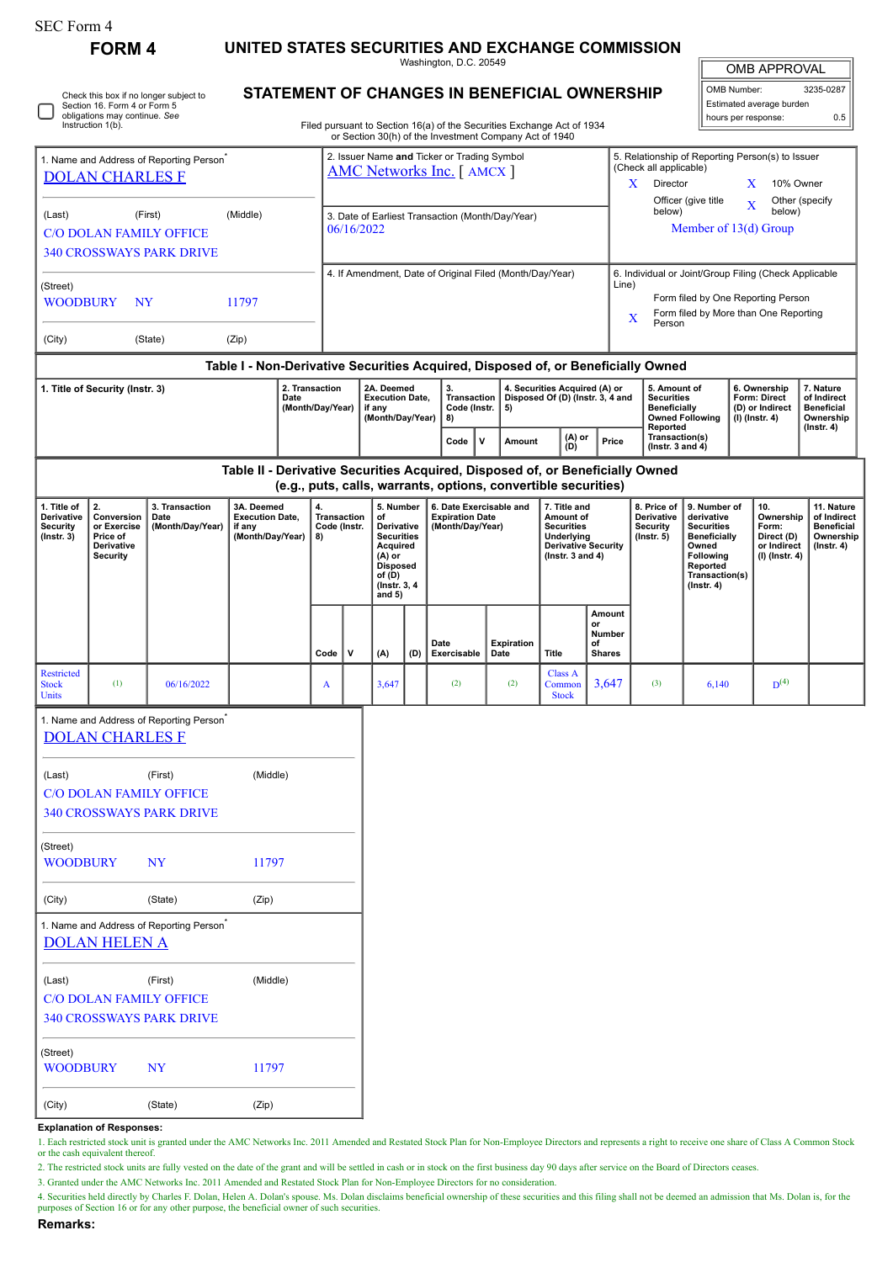| SEC Form 4                                                                                         | <b>FORM4</b>                                                                 |                                                                            |                                                                    |  |                                                |                                                                                  |                                                                                                                                      |     |                                                                                                                                                 |  |                    |                                                                                                                     |                                               |                                                                                                                                                                        |                                                                                                                                                |  |                                                                            |                                                                                 |  |
|----------------------------------------------------------------------------------------------------|------------------------------------------------------------------------------|----------------------------------------------------------------------------|--------------------------------------------------------------------|--|------------------------------------------------|----------------------------------------------------------------------------------|--------------------------------------------------------------------------------------------------------------------------------------|-----|-------------------------------------------------------------------------------------------------------------------------------------------------|--|--------------------|---------------------------------------------------------------------------------------------------------------------|-----------------------------------------------|------------------------------------------------------------------------------------------------------------------------------------------------------------------------|------------------------------------------------------------------------------------------------------------------------------------------------|--|----------------------------------------------------------------------------|---------------------------------------------------------------------------------|--|
|                                                                                                    |                                                                              | UNITED STATES SECURITIES AND EXCHANGE COMMISSION<br>Washington, D.C. 20549 |                                                                    |  |                                                |                                                                                  |                                                                                                                                      |     |                                                                                                                                                 |  |                    | <b>OMB APPROVAL</b>                                                                                                 |                                               |                                                                                                                                                                        |                                                                                                                                                |  |                                                                            |                                                                                 |  |
| Check this box if no longer subject to<br>Section 16. Form 4 or Form 5                             |                                                                              |                                                                            |                                                                    |  |                                                |                                                                                  | STATEMENT OF CHANGES IN BENEFICIAL OWNERSHIP                                                                                         |     |                                                                                                                                                 |  |                    |                                                                                                                     |                                               |                                                                                                                                                                        |                                                                                                                                                |  | OMB Number:<br>3235-0287<br>Estimated average burden                       |                                                                                 |  |
|                                                                                                    | obligations may continue. See<br>Instruction 1(b).                           |                                                                            |                                                                    |  |                                                |                                                                                  |                                                                                                                                      |     | Filed pursuant to Section 16(a) of the Securities Exchange Act of 1934<br>or Section 30(h) of the Investment Company Act of 1940                |  |                    |                                                                                                                     |                                               |                                                                                                                                                                        |                                                                                                                                                |  | hours per response:                                                        | 0.5                                                                             |  |
| 1. Name and Address of Reporting Person <sup>7</sup><br><b>DOLAN CHARLES F</b>                     |                                                                              |                                                                            |                                                                    |  |                                                | 2. Issuer Name and Ticker or Trading Symbol<br><b>AMC Networks Inc.</b> [ AMCX ] |                                                                                                                                      |     |                                                                                                                                                 |  |                    |                                                                                                                     |                                               | 5. Relationship of Reporting Person(s) to Issuer<br>(Check all applicable)<br>X.<br>Director<br>X<br>10% Owner                                                         |                                                                                                                                                |  |                                                                            |                                                                                 |  |
| (First)<br>(Middle)<br>(Last)<br><b>C/O DOLAN FAMILY OFFICE</b><br><b>340 CROSSWAYS PARK DRIVE</b> |                                                                              |                                                                            |                                                                    |  |                                                | 3. Date of Earliest Transaction (Month/Day/Year)<br>06/16/2022                   |                                                                                                                                      |     |                                                                                                                                                 |  |                    |                                                                                                                     |                                               | Officer (give title<br>Other (specify<br>$\bf{X}$<br>below)<br>below)<br>Member of 13(d) Group                                                                         |                                                                                                                                                |  |                                                                            |                                                                                 |  |
| (Street)<br><b>WOODBURY</b><br><b>NY</b><br>11797                                                  |                                                                              |                                                                            |                                                                    |  |                                                | 4. If Amendment, Date of Original Filed (Month/Day/Year)                         |                                                                                                                                      |     |                                                                                                                                                 |  |                    |                                                                                                                     |                                               | 6. Individual or Joint/Group Filing (Check Applicable<br>Line)<br>Form filed by One Reporting Person<br>Form filed by More than One Reporting<br>$\mathbf X$<br>Person |                                                                                                                                                |  |                                                                            |                                                                                 |  |
| (City)                                                                                             |                                                                              | (State)                                                                    | (Zip)                                                              |  |                                                |                                                                                  |                                                                                                                                      |     |                                                                                                                                                 |  |                    |                                                                                                                     |                                               |                                                                                                                                                                        |                                                                                                                                                |  |                                                                            |                                                                                 |  |
|                                                                                                    |                                                                              |                                                                            |                                                                    |  |                                                |                                                                                  |                                                                                                                                      |     | Table I - Non-Derivative Securities Acquired, Disposed of, or Beneficially Owned                                                                |  |                    |                                                                                                                     |                                               |                                                                                                                                                                        |                                                                                                                                                |  |                                                                            |                                                                                 |  |
| 1. Title of Security (Instr. 3)<br>2. Transaction<br>Date<br>(Month/Day/Year)                      |                                                                              |                                                                            |                                                                    |  |                                                |                                                                                  | 2A. Deemed<br><b>Execution Date.</b><br>if any<br>(Month/Day/Year)                                                                   |     | 3.<br>Transaction<br>Code (Instr.<br>8)                                                                                                         |  | 5)                 | 4. Securities Acquired (A) or<br>Disposed Of (D) (Instr. 3, 4 and<br>(A) or                                         |                                               | 5. Amount of<br><b>Securities</b><br><b>Beneficially</b><br>Reported                                                                                                   | <b>Owned Following</b>                                                                                                                         |  | 6. Ownership<br><b>Form: Direct</b><br>(D) or Indirect<br>(I) (Instr. 4)   | 7. Nature<br>of Indirect<br><b>Beneficial</b><br>Ownership<br>(Instr. 4)        |  |
|                                                                                                    |                                                                              |                                                                            |                                                                    |  |                                                |                                                                                  |                                                                                                                                      |     | Code<br>$\mathbf v$                                                                                                                             |  | Amount             | (D)                                                                                                                 | Price                                         | Transaction(s)<br>( $lnstr. 3 and 4$ )                                                                                                                                 |                                                                                                                                                |  |                                                                            |                                                                                 |  |
|                                                                                                    |                                                                              |                                                                            |                                                                    |  |                                                |                                                                                  |                                                                                                                                      |     | Table II - Derivative Securities Acquired, Disposed of, or Beneficially Owned<br>(e.g., puts, calls, warrants, options, convertible securities) |  |                    |                                                                                                                     |                                               |                                                                                                                                                                        |                                                                                                                                                |  |                                                                            |                                                                                 |  |
| 1. Title of<br><b>Derivative</b><br><b>Security</b><br>$($ Instr. 3 $)$                            | 2.<br>Conversion<br>or Exercise<br>Price of<br>Derivative<br><b>Security</b> | 3. Transaction<br>Date<br>(Month/Day/Year)                                 | 3A. Deemed<br><b>Execution Date,</b><br>if any<br>(Month/Day/Year) |  | 4.<br><b>Transaction</b><br>Code (Instr.<br>8) |                                                                                  | 5. Number<br>of<br>Derivative<br><b>Securities</b><br>Acquired<br>$(A)$ or<br><b>Disposed</b><br>of (D)<br>(Instr. 3, 4)<br>and $5)$ |     | 6. Date Exercisable and<br><b>Expiration Date</b><br>(Month/Day/Year)                                                                           |  |                    | 7. Title and<br>Amount of<br><b>Securities</b><br>Underlying<br><b>Derivative Security</b><br>(Instr. $3$ and $4$ ) |                                               | 8. Price of<br><b>Derivative</b><br><b>Security</b><br>$($ lnstr. $5)$                                                                                                 | 9. Number of<br>derivative<br><b>Securities</b><br><b>Beneficially</b><br>Owned<br>Following<br>Reported<br>Transaction(s)<br>$($ Instr. 4 $)$ |  | 10.<br>Ownership<br>Form:<br>Direct (D)<br>or Indirect<br>$(I)$ (Instr. 4) | 11. Nature<br>of Indirect<br><b>Beneficial</b><br>Ownership<br>$($ lnstr. 4 $)$ |  |
|                                                                                                    |                                                                              |                                                                            |                                                                    |  | Code                                           | $\mathsf{v}$                                                                     | (A)                                                                                                                                  | (D) | Date<br>Exercisable                                                                                                                             |  | Expiration<br>Date | <b>Title</b>                                                                                                        | Amount<br>or<br>Number<br>of<br><b>Shares</b> |                                                                                                                                                                        |                                                                                                                                                |  |                                                                            |                                                                                 |  |
| Restricted<br><b>Stock</b><br>Units                                                                | (1)                                                                          | 06/16/2022                                                                 |                                                                    |  |                                                |                                                                                  | 3,647                                                                                                                                |     | (2)                                                                                                                                             |  | (2)                | <b>Class A</b><br>Common<br><b>Stock</b>                                                                            | 3,647                                         | (3)                                                                                                                                                                    | 6,140                                                                                                                                          |  | $D^{(4)}$                                                                  |                                                                                 |  |
|                                                                                                    | <b>DOLAN CHARLES F</b>                                                       | 1. Name and Address of Reporting Person <sup>®</sup>                       |                                                                    |  |                                                |                                                                                  |                                                                                                                                      |     |                                                                                                                                                 |  |                    |                                                                                                                     |                                               |                                                                                                                                                                        |                                                                                                                                                |  |                                                                            |                                                                                 |  |
| (Middle)<br>(First)<br>(Last)<br><b>C/O DOLAN FAMILY OFFICE</b><br><b>340 CROSSWAYS PARK DRIVE</b> |                                                                              |                                                                            |                                                                    |  |                                                |                                                                                  |                                                                                                                                      |     |                                                                                                                                                 |  |                    |                                                                                                                     |                                               |                                                                                                                                                                        |                                                                                                                                                |  |                                                                            |                                                                                 |  |
| (Street)<br><b>WOODBURY</b>                                                                        |                                                                              | <b>NY</b>                                                                  | 11797                                                              |  |                                                |                                                                                  |                                                                                                                                      |     |                                                                                                                                                 |  |                    |                                                                                                                     |                                               |                                                                                                                                                                        |                                                                                                                                                |  |                                                                            |                                                                                 |  |
| (City)                                                                                             |                                                                              | (State)                                                                    | (Zip)                                                              |  |                                                |                                                                                  |                                                                                                                                      |     |                                                                                                                                                 |  |                    |                                                                                                                     |                                               |                                                                                                                                                                        |                                                                                                                                                |  |                                                                            |                                                                                 |  |
|                                                                                                    | <b>DOLAN HELEN A</b>                                                         | 1. Name and Address of Reporting Person <sup>*</sup>                       |                                                                    |  |                                                |                                                                                  |                                                                                                                                      |     |                                                                                                                                                 |  |                    |                                                                                                                     |                                               |                                                                                                                                                                        |                                                                                                                                                |  |                                                                            |                                                                                 |  |
| (Last)<br><b>C/O DOLAN FAMILY OFFICE</b><br><b>340 CROSSWAYS PARK DRIVE</b>                        |                                                                              | (First)                                                                    | (Middle)                                                           |  |                                                |                                                                                  |                                                                                                                                      |     |                                                                                                                                                 |  |                    |                                                                                                                     |                                               |                                                                                                                                                                        |                                                                                                                                                |  |                                                                            |                                                                                 |  |
| (Street)<br><b>WOODBURY</b>                                                                        |                                                                              | <b>NY</b>                                                                  | 11797                                                              |  |                                                |                                                                                  |                                                                                                                                      |     |                                                                                                                                                 |  |                    |                                                                                                                     |                                               |                                                                                                                                                                        |                                                                                                                                                |  |                                                                            |                                                                                 |  |
| (City)                                                                                             |                                                                              | (State)                                                                    | (Zip)                                                              |  |                                                |                                                                                  |                                                                                                                                      |     |                                                                                                                                                 |  |                    |                                                                                                                     |                                               |                                                                                                                                                                        |                                                                                                                                                |  |                                                                            |                                                                                 |  |
|                                                                                                    | Evalanation of Poenonege                                                     |                                                                            |                                                                    |  |                                                |                                                                                  |                                                                                                                                      |     |                                                                                                                                                 |  |                    |                                                                                                                     |                                               |                                                                                                                                                                        |                                                                                                                                                |  |                                                                            |                                                                                 |  |

**Explanation of Responses:**

1. Each restricted stock unit is granted under the AMC Networks Inc. 2011 Amended and Restated Stock Plan for Non-Employee Directors and represents a right to receive one share of Class A Common Stock or the cash equivalent thereof.

2. The restricted stock units are fully vested on the date of the grant and will be settled in cash or in stock on the first business day 90 days after service on the Board of Directors ceases.

3. Granted under the AMC Networks Inc. 2011 Amended and Restated Stock Plan for Non-Employee Directors for no consideration.

4. Securities held directly by Charles F. Dolan, Helen A. Dolan's spouse. Ms. Dolan disclaims beneficial ownership of these securities and this filing shall not be deemed an admission that Ms. Dolan is, for the purposes of

**Remarks:**